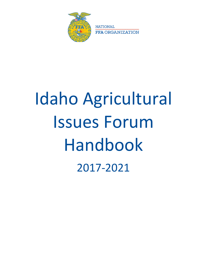

**NATIONAL FFA ORGANIZATION** 

# Idaho Agricultural Issues Forum Handbook 2017-2021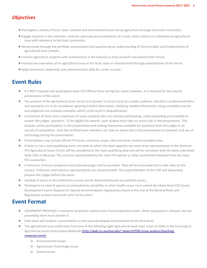## *Objectives*

- ●Investigate a variety of local, state, national and international issues facing agriculture through classroom instruction.
- ●Engage students in the selection, research, planning and presentation of a local, state, national or international agricultural issue with relevance to the local community.
- Demonstrate through the portfolio, presentation and questioning an understanding of the principles and fundamentals of agricultural issue analysis.
- ●Connect agriculture students with professionals in the industry as they research and present their forum.
- ●Increase the awareness of an agricultural issue at the local, state or national level through presentations of the forum.
- ●Apply teamwork, leadership and communication skills for career success.

## **Event Rules**

- It is NOT required that participants wear FFA Official Dress during this event; however, it is required for the awards presentation of the event.
- The purpose of the agricultural issues forum is to present a current issue to a public audience; therefore, professional ethics and standards are to be considered. Ignoring truthful information, falsifying needed information, using unreliable sources and plagiarism are violation examples which could result in disqualification.
- A minimum of three and a maximum of seven students who are actively participating, orally presenting and available to answer the judges' questions. To be eligible for awards, each student must take an active role in the presentation. This includes active participation in the presentation and making themselves available for questions from the judges in all rounds of competition. Only the certified team members can take an active role in the presentation of materials and use of technology during the presentation.
- Presentations may include official FFA dress, costumes, props, skits and other creative paraphernalia.
- If there is not a state qualifying event, the date on which the state appoints the team to be representative to the National FFA Agricultural Issues Forum will be considered at the state qualifying date and will be consistent with the dates submitted State CDEs in Moscow. This must be substantiated by the state FFA advisor or other authorized individual from the state FFA association.
- A minimum of three competent and unbiased judges will be provided. They will be instructed not to take sides on the issue(s). Professors and industry representatives are recommended. The superintendent of this CDE will adequately prepare the judges before the event.
- Seeding of teams in the preliminary rounds will be determined based on portfolio scores.
- Participants in need of special accommodations (disability or other health issues must submit the Idaho State FFA Career Development Events Request for Special Accommodation Applications found at the end of the General Rules and Regulations at least one month prior to the event.

## **Event Format**

- EQUIPMENT PROVIDED: a computer projection system and a front projection screen. Other equipment is allowed, but the presenting team must provide it.
- Each team will conduct a presentation on the issue developed and presented at the local level.
- The agricultural issue could come from one of the following eight agricultural issue topic areas as listed in the Focusing on Agricultural Issues Instructional Materials [\(http://web.ics.purdue.edu/~peters/HTML/issue-analysis/teaching](http://web.ics.purdue.edu/%7Epeters/HTML/issue-analysis/teaching-materials.html))[materials.html\):](http://web.ics.purdue.edu/%7Epeters/HTML/issue-analysis/teaching-materials.html))
	- o Environmental Issues
	- o Agricultural Technology Issues
	- o Animal Issues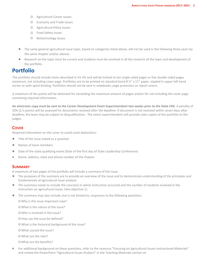- o Agricultural Career Issues
- o Economy and Trade Issues
- o Agricultural Policy Issues
- o Food Safety Issues
- o Biotechnology Issues
- The same general agricultural issue topic, based on categories listed above, will not be used in the following three years by the same chapter and/or advisor.
- Research on the topic must be current and students must be involved in all the research of the topic and development of the portfolio.

## **Portfolio**

The portfolio should include items described in H1-H5 and will be limited to ten single-sided pages or five double-sided pages maximum, not including cover page. Portfolios are to be printed on standard bond 8  $\frac{1}{2}$ " x 11" paper, stapled in upper left hand corner or with spiral binding. Portfolios should not be sent in notebooks, page protectors or report covers.

A maximum of ten points will be deducted for exceeding the maximum amount of pages and/or for not including the cover page containing required information.

**An electronic copy must be sent to the Career Development Event Superintendent two weeks prior to the State CDE.** A penalty of 10% (2.5 points) will be assessed for documents received after the deadline. If document is not received within seven days after deadline, the team may be subject to disqualification. The event superintendent will provide color copies of the portfolio to the judges.

#### **COVER**

Required information on the cover to avoid score deductions:

- Title of the issue stated as a question
- Names of team members
- Date of the state qualifying event (Date of the first day of State Leadership Conference)
- Name, address, state and phone number of the chapter

#### **SUMMARY**

A maximum of two pages of the portfolio will include a summary of the issue.

- The purposes of the summary are to provide an overview of the issue and to demonstrate understanding of the principles and fundamentals of agricultural issue analysis.
- The summary needs to include the course(s) in which instruction occurred and the number of students involved in the instruction on agricultural issues. (See objective 1)
- The summary may also include, but is not limited to, responses to the following questions:
	- o Why is this issue important now?
	- o What is the nature of the issue?
	- o Who is involved in the issue?
	- o How can the issue be defined?
	- o What is the historical background of the issue?
	- o What caused the issue?
	- o What are the risks?
	- o What are the benefits?
- For additional background on these questions, refer to the resource "Focusing on Agricultural Issues Instructional Materials" and review the PowerPoint "Agricultural Issues Analysis" in the Teaching Materials section at: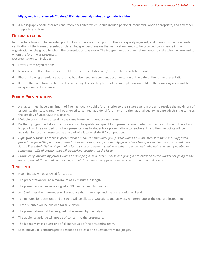#### [http://web.ics.purdue.edu/~peters/HTML/issue-analysis/teaching-](http://web.ics.purdue.edu/%7Epeters/HTML/issue-analysis/teaching-%20materials.html) materials.html

● A bibliography of all resources and references cited which should include personal interviews, when appropriate, and any other supporting material.

#### **DOCUMENTATION**

In order for a forum to be awarded points, it must have occurred prior to the state qualifying event, and there must be independent verification of the forum presentation date. "Independent" means that verification needs to be provided by someone in the organization or the group to whom the presentation was made. The independent documentation needs to state when, where and to whom the forum was presented.

Documentation can include:

- Letters from organizations
- News articles, that also include the date of the presentation and/or the date the article is printed
- Photos showing attendance at forums, but also need independent documentation of the date of the forum presentation
- If more than one forum is held on the same day, the starting times of the multiple forums held on the same day also must be independently documented

#### **FORUM PRESENTATIONS**

- A chapter must have a minimum of five high quality public forums prior to their state event in order to receive the maximum of 15 points. The state winner will be allowed to conduct additional forum prior to the national qualifying date which is the same as the last day of State CDEs in Moscow.
- Multiple organizations attending the same forum will count as one forum.
- Portfolio judges may take into consideration the quality and quantity of presentations made to audiences outside of the school. No points will be awarded for school presentations to students or presentations to teachers. In addition, no points will be awarded for forums presented as any part of a local or state FFA competition.
- *High quality forums are those presentations made to community groups that would have an interest in the issue. Suggested procedures for setting up these presentations and examples of community groups have been provided in the Agricultural Issues Forum Presenter's Guide. High quality forums can also be with smaller numbers of individuals who hold elected, appointed or some other official position that will be making decisions on the issue.*
- *Examples of low quality forums would be dropping in at a local business and giving a presentation to the workers or going to the home of one of the parents to make a presentation. Low quality forums will receive zero or minimal points.*

#### **TIME LIMITS**

- Five minutes will be allowed for set-up.
- The presentation will be a maximum of 15 minutes in length.
- The presenters will receive a signal at 10 minutes and 14 minutes.
- At 15 minutes the timekeeper will announce that time is up, and the presentation will end.
- Ten minutes for questions and answers will be allotted. Questions and answers will terminate at the end of allotted time.
- Three minutes will be allowed for take-down.
- The presentations will be designed to be viewed by the judges.
- The audience at-large will not be of concern to the presenters.
- The judges may ask questions of all individuals of the presenting team.
- Each individual is encouraged to respond to at least one question from the judges.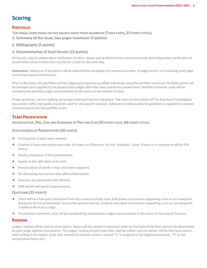## **Scoring**

#### **PORTFOLIO**

**TEN SINGLE-SIDED PAGES OR FIVE DOUBLE-SIDED PAGES MAXIMUM (THREE PARTS, 25 POINTS TOTAL)**

- **1. Summary of the issue, two pages maximum (5 points).**
- **2. Bibliography (5 points).**

#### **3. Documentation of local forums (15 points).**

All forums, require independent verification of when, where and to whom forums were presented, and independent verification of presentation times if more than one forum is held on the same day.

**Deductions**: Maximum of ten points will be deducted for exceeding the maximum number of pages and/or not including cover page containing required information.

Prior to the event, the portfolios will be judged and scored by qualified individuals using the portfolio scorecard. Portfolio scores will be averaged and supplied to the presentation judges after they have scored the presentation. Portfolio comment cards will be completed by portfolio judges and presented to the teams at the awards function.

Proper grammar, correct spelling and proper editing of text are important. The most current edition of The American Psychological Association (APA) style guide should be used for all research citations. Adherence to these editorial guidelines is expected to receive maximum points for the portfolio score.

#### **TEAM PRESENTATION**

#### **INTRODUCTION, PRO, CON AND SUMMARY OF PRO AND CON (20 POINTS EACH, 80 POINTS TOTAL)**

#### **EFFECTIVENESS OF PRESENTATION (20 POINTS)**

- Participation of each team member.
- Creative in how main points are made. (It makes no difference, for the "creativity" score, if team is in costume or official FFA dress.)
- Quality and power of the presentations.
- Speaks at the right pace to be clear.
- Pronunciation of words is clear and intent apparent.
- No distracting mannerisms that affect effectiveness.
- Gestures are purposeful and effective.
- Well poised with good stage presence.

#### **QUESTIONS (25 POINTS)**

- There will be a five-point deduction from the scorecard of any team that draws a conclusion supporting a pro or con viewpoint during the formal presentation. During the question period, students may draw a conclusion supporting a pro or con viewpoint if asked to do so by a judge.
- Presentation comment cards will be completed by presentation judges and presented to the teams at the awards function.

#### **RANKING**

Judges' ranking will be used to place teams. Teams will be ranked in numerical order on the basis of the final score to be determined by each judge without consultation. The judges' ranking of each team then shall be added, and the winner will be that team whose total ranking is the lowest. (Low rank method of selection where a rank of "1" is assigned to the highest place team, "2" to the second place team, etc.)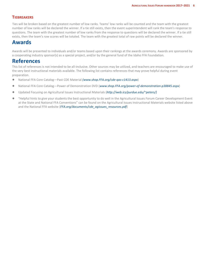#### **TIEBREAKERS**

Ties will be broken based on the greatest number of low ranks. Teams' low ranks will be counted and the team with the greatest number of low ranks will be declared the winner. If a tie still exists, then the event superintendent will rank the team's response to questions. The team with the greatest number of low ranks from the response to questions will be declared the winner. If a tie still exists, then the team's raw scores will be totaled. The team with the greatest total of raw points will be declared the winner.

## **Awards**

Awards will be presented to individuals and/or teams based upon their rankings at the awards ceremony. Awards are sponsored by a cooperating industry sponsor(s) as a special project, and/or by the general fund of the Idaho FFA Foundation.

### **References**

This list of references is not intended to be all-inclusive. Other sources may be utilized, and teachers are encouraged to make use of the very best instructional materials available. The following list contains references that may prove helpful during event preparation.

- National FFA Core Catalog—Past CDE Material *(www.shop.FFA.org/cde-qas-c1413.aspx*)
- National FFA Core Catalog—Power of Demonstration DVD (*www.shop.FFA.org/power-of-demonstration-p38845.aspx*)
- Updated Focusing on Agricultural Issues Instructional Materials (*http://web.ics/purdue.edu/~peters/)*
- "Helpful hints to give your students the best opportunity to do well in the Agricultural Issues Forum Career Development Event at the State and National FFA Conventions" can be found on the Agricultural Issues Instructional Materials website listed above and the National FFA website (*FFA.org/documents/cde\_agissues\_resources.pdf*)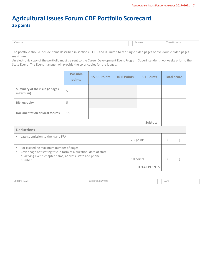## **Agricultural Issues Forum CDE Portfolio Scorecard 25 points**

| CHAPTER | <b>NDVISOR</b> | NUMBER<br>cAIV |
|---------|----------------|----------------|
|         |                |                |

The portfolio should include items described in sections H1-H5 and is limited to ten single-sided pages or five double-sided pages maximum.

An electronic copy of the portfolio must be sent to the Career Development Event Program Superintendent two weeks prior to the State Event. The Event manager will provide the color copies for the judges.

|                                                                                                                                                                                                          | <b>Possible</b><br>points | 15-11 Points | 10-6 Points | 5-1 Points | <b>Total score</b> |  |
|----------------------------------------------------------------------------------------------------------------------------------------------------------------------------------------------------------|---------------------------|--------------|-------------|------------|--------------------|--|
| Summary of the issue (2 pages<br>maximum)                                                                                                                                                                | 5                         |              |             |            |                    |  |
| <b>Bibliography</b>                                                                                                                                                                                      | 5                         |              |             |            |                    |  |
| Documentation of local forums                                                                                                                                                                            | 15                        |              |             |            |                    |  |
| Subtotal:                                                                                                                                                                                                |                           |              |             |            |                    |  |
| <b>Deductions</b>                                                                                                                                                                                        |                           |              |             |            |                    |  |
| Late submission to the Idaho FFA<br>٠<br>-2.5 points                                                                                                                                                     |                           |              |             |            |                    |  |
| For exceeding maximum number of pages<br>٠<br>Cover page not stating title in form of a question, date of state<br>٠<br>qualifying event, chapter name, address, state and phone<br>-10 points<br>number |                           |              |             |            |                    |  |
| <b>TOTAL POINTS</b>                                                                                                                                                                                      |                           |              |             |            |                    |  |
|                                                                                                                                                                                                          |                           |              |             |            |                    |  |

| <b>JUDGE'S NAME</b> | <b>JUDGE'S SIGNATURE</b> | DATE |
|---------------------|--------------------------|------|